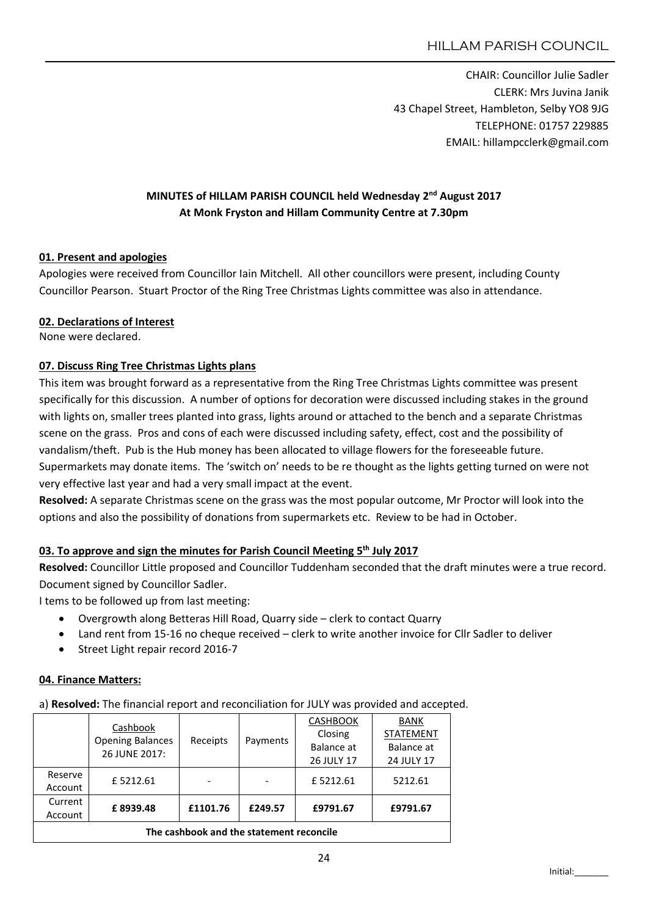CHAIR: Councillor Julie Sadler CLERK: Mrs Juvina Janik 43 Chapel Street, Hambleton, Selby YO8 9JG TELEPHONE: 01757 229885 EMAIL: hillampcclerk@gmail.com

# MINUTES of HILLAM PARISH COUNCIL held Wednesday 2<sup>nd</sup> August 2017 At Monk Fryston and Hillam Community Centre at 7.30pm

## 01. Present and apologies

Apologies were received from Councillor Iain Mitchell. All other councillors were present, including County Councillor Pearson. Stuart Proctor of the Ring Tree Christmas Lights committee was also in attendance.

#### 02. Declarations of Interest

None were declared.

# 07. Discuss Ring Tree Christmas Lights plans

This item was brought forward as a representative from the Ring Tree Christmas Lights committee was present specifically for this discussion. A number of options for decoration were discussed including stakes in the ground with lights on, smaller trees planted into grass, lights around or attached to the bench and a separate Christmas scene on the grass. Pros and cons of each were discussed including safety, effect, cost and the possibility of vandalism/theft. Pub is the Hub money has been allocated to village flowers for the foreseeable future. Supermarkets may donate items. The 'switch on' needs to be re thought as the lights getting turned on were not very effective last year and had a very small impact at the event.

Resolved: A separate Christmas scene on the grass was the most popular outcome, Mr Proctor will look into the options and also the possibility of donations from supermarkets etc. Review to be had in October.

# 03. To approve and sign the minutes for Parish Council Meeting 5<sup>th</sup> July 2017

Resolved: Councillor Little proposed and Councillor Tuddenham seconded that the draft minutes were a true record. Document signed by Councillor Sadler.

I tems to be followed up from last meeting:

- Overgrowth along Betteras Hill Road, Quarry side clerk to contact Quarry
- Land rent from 15-16 no cheque received clerk to write another invoice for Cllr Sadler to deliver
- Street Light repair record 2016-7

#### 04. Finance Matters:

a) Resolved: The financial report and reconciliation for JULY was provided and accepted.

|                                          | Cashbook<br><b>Opening Balances</b><br>26 JUNE 2017: | Receipts |          | <b>CASHBOOK</b>   | <b>BANK</b>      |  |  |  |  |
|------------------------------------------|------------------------------------------------------|----------|----------|-------------------|------------------|--|--|--|--|
|                                          |                                                      |          | Payments | Closing           | <b>STATEMENT</b> |  |  |  |  |
|                                          |                                                      |          |          | <b>Balance</b> at | Balance at       |  |  |  |  |
|                                          |                                                      |          |          | 26 JULY 17        | 24 JULY 17       |  |  |  |  |
| Reserve                                  | £5212.61                                             |          |          | £5212.61          | 5212.61          |  |  |  |  |
| Account                                  |                                                      |          |          |                   |                  |  |  |  |  |
| Current                                  |                                                      |          |          |                   | £9791.67         |  |  |  |  |
| Account                                  | £8939.48                                             | £1101.76 | £249.57  | £9791.67          |                  |  |  |  |  |
| The cashbook and the statement reconcile |                                                      |          |          |                   |                  |  |  |  |  |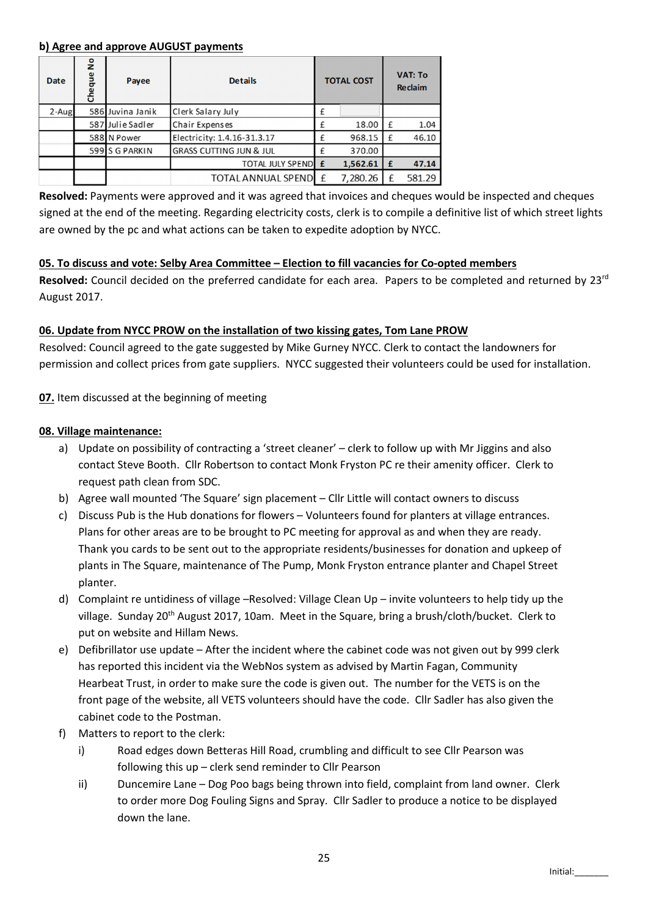#### b) Agree and approve AUGUST payments

| Date     | å<br>Cheque | Payee            | <b>Details</b>                     | <b>TOTAL COST</b> |          | <b>VAT: To</b><br><b>Reclaim</b> |        |
|----------|-------------|------------------|------------------------------------|-------------------|----------|----------------------------------|--------|
| $2-Au$ g |             | 586 Juvina Janik | Clerk Salary July                  |                   |          |                                  |        |
|          |             | 587 Julie Sadler | Chair Expenses                     |                   | 18.00    |                                  | 1.04   |
|          |             | 588 N Power      | Electricity: 1.4.16-31.3.17        |                   | 968.15   |                                  | 46.10  |
|          |             | 599 S G PARKIN   | <b>GRASS CUTTING JUN &amp; JUL</b> |                   | 370.00   |                                  |        |
|          |             |                  | <b>TOTAL JULY SPEND E</b>          |                   | 1,562.61 | £                                | 47.14  |
|          |             |                  | TOTAL ANNUAL SPEND E               |                   | 7,280.26 |                                  | 581.29 |

Resolved: Payments were approved and it was agreed that invoices and cheques would be inspected and cheques signed at the end of the meeting. Regarding electricity costs, clerk is to compile a definitive list of which street lights are owned by the pc and what actions can be taken to expedite adoption by NYCC.

## 05. To discuss and vote: Selby Area Committee – Election to fill vacancies for Co-opted members

Resolved: Council decided on the preferred candidate for each area. Papers to be completed and returned by 23rd August 2017.

## 06. Update from NYCC PROW on the installation of two kissing gates, Tom Lane PROW

Resolved: Council agreed to the gate suggested by Mike Gurney NYCC. Clerk to contact the landowners for permission and collect prices from gate suppliers. NYCC suggested their volunteers could be used for installation.

07. Item discussed at the beginning of meeting

#### 08. Village maintenance:

- a) Update on possibility of contracting a 'street cleaner' clerk to follow up with Mr Jiggins and also contact Steve Booth. Cllr Robertson to contact Monk Fryston PC re their amenity officer. Clerk to request path clean from SDC.
- b) Agree wall mounted 'The Square' sign placement Cllr Little will contact owners to discuss
- c) Discuss Pub is the Hub donations for flowers Volunteers found for planters at village entrances. Plans for other areas are to be brought to PC meeting for approval as and when they are ready. Thank you cards to be sent out to the appropriate residents/businesses for donation and upkeep of plants in The Square, maintenance of The Pump, Monk Fryston entrance planter and Chapel Street planter.
- d) Complaint re untidiness of village –Resolved: Village Clean Up invite volunteers to help tidy up the village. Sunday 20th August 2017, 10am. Meet in the Square, bring a brush/cloth/bucket. Clerk to put on website and Hillam News.
- e) Defibrillator use update After the incident where the cabinet code was not given out by 999 clerk has reported this incident via the WebNos system as advised by Martin Fagan, Community Hearbeat Trust, in order to make sure the code is given out. The number for the VETS is on the front page of the website, all VETS volunteers should have the code. Cllr Sadler has also given the cabinet code to the Postman.
- f) Matters to report to the clerk:
	- i) Road edges down Betteras Hill Road, crumbling and difficult to see Cllr Pearson was following this up – clerk send reminder to Cllr Pearson
	- ii) Duncemire Lane Dog Poo bags being thrown into field, complaint from land owner. Clerk to order more Dog Fouling Signs and Spray. Cllr Sadler to produce a notice to be displayed down the lane.